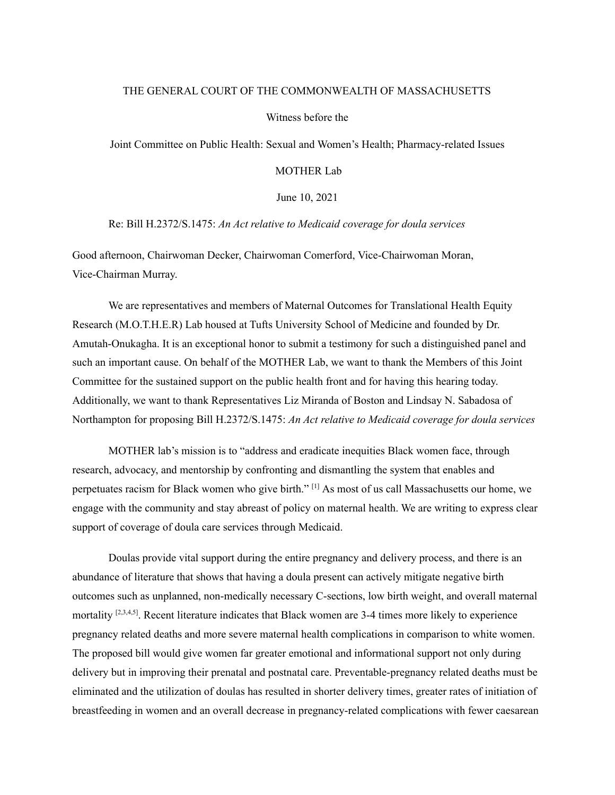## THE GENERAL COURT OF THE COMMONWEALTH OF MASSACHUSETTS

## Witness before the

Joint Committee on Public Health: Sexual and Women's Health; Pharmacy-related Issues

## MOTHER Lab

June 10, 2021

Re: Bill H.2372/S.1475: *An Act relative to Medicaid coverage for doula services*

Good afternoon, Chairwoman Decker, Chairwoman Comerford, Vice-Chairwoman Moran, Vice-Chairman Murray.

We are representatives and members of Maternal Outcomes for Translational Health Equity Research (M.O.T.H.E.R) Lab housed at Tufts University School of Medicine and founded by Dr. Amutah-Onukagha. It is an exceptional honor to submit a testimony for such a distinguished panel and such an important cause. On behalf of the MOTHER Lab, we want to thank the Members of this Joint Committee for the sustained support on the public health front and for having this hearing today. Additionally, we want to thank Representatives Liz Miranda of Boston and Lindsay N. Sabadosa of Northampton for proposing Bill H.2372/S.1475: *An Act relative to Medicaid coverage for doula services*

MOTHER lab's mission is to "address and eradicate inequities Black women face, through research, advocacy, and mentorship by confronting and dismantling the system that enables and perpetuates racism for Black women who give birth." [1] As most of us call Massachusetts our home, we engage with the community and stay abreast of policy on maternal health. We are writing to express clear support of coverage of doula care services through Medicaid.

Doulas provide vital support during the entire pregnancy and delivery process, and there is an abundance of literature that shows that having a doula present can actively mitigate negative birth outcomes such as unplanned, non-medically necessary C-sections, low birth weight, and overall maternal mortality  $[2,3,4,5]$ . Recent literature indicates that Black women are 3-4 times more likely to experience pregnancy related deaths and more severe maternal health complications in comparison to white women. The proposed bill would give women far greater emotional and informational support not only during delivery but in improving their prenatal and postnatal care. Preventable-pregnancy related deaths must be eliminated and the utilization of doulas has resulted in shorter delivery times, greater rates of initiation of breastfeeding in women and an overall decrease in pregnancy-related complications with fewer caesarean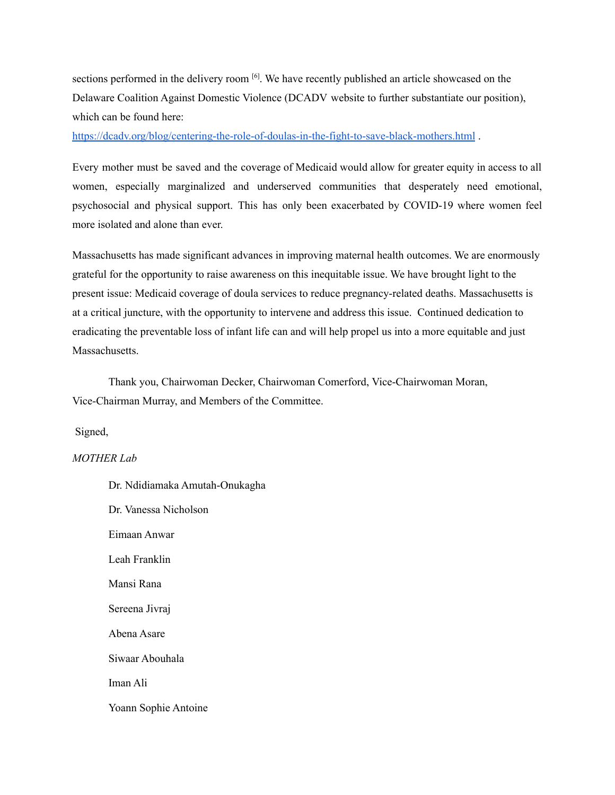sections performed in the delivery room <sup>[6]</sup>. We have recently published an article showcased on the Delaware Coalition Against Domestic Violence (DCADV website to further substantiate our position), which can be found here:

<https://dcadv.org/blog/centering-the-role-of-doulas-in-the-fight-to-save-black-mothers.html> .

Every mother must be saved and the coverage of Medicaid would allow for greater equity in access to all women, especially marginalized and underserved communities that desperately need emotional, psychosocial and physical support. This has only been exacerbated by COVID-19 where women feel more isolated and alone than ever.

Massachusetts has made significant advances in improving maternal health outcomes. We are enormously grateful for the opportunity to raise awareness on this inequitable issue. We have brought light to the present issue: Medicaid coverage of doula services to reduce pregnancy-related deaths. Massachusetts is at a critical juncture, with the opportunity to intervene and address this issue. Continued dedication to eradicating the preventable loss of infant life can and will help propel us into a more equitable and just Massachusetts.

Thank you, Chairwoman Decker, Chairwoman Comerford, Vice-Chairwoman Moran, Vice-Chairman Murray, and Members of the Committee.

Signed,

## *MOTHER Lab*

Dr. Ndidiamaka Amutah-Onukagha Dr. Vanessa Nicholson Eimaan Anwar Leah Franklin Mansi Rana Sereena Jivraj Abena Asare Siwaar Abouhala Iman Ali Yoann Sophie Antoine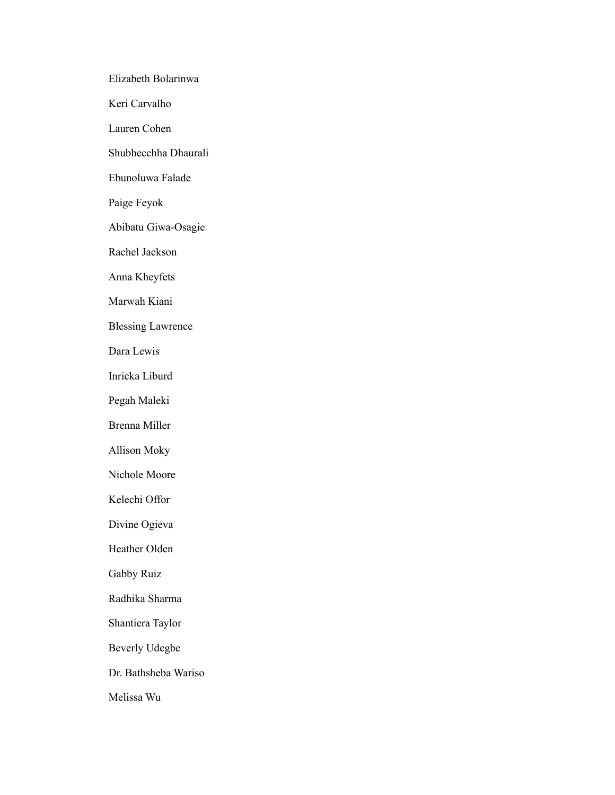Elizabeth Bolarinwa Keri Carvalho Lauren Cohen Shubhecchha Dhaurali Ebunoluwa Falade Paige Feyok Abibatu Giwa-Osagie Rachel Jackson Anna Kheyfets Marwah Kiani Blessing Lawrence Dara Lewis Inricka Liburd Pegah Maleki Brenna Miller Allison Moky Nichole Moore Kelechi Offor Divine Ogieva Heather Olden Gabby Ruiz Radhika Sharma Shantiera Taylor Beverly Udegbe Dr. Bathsheba Wariso Melissa Wu